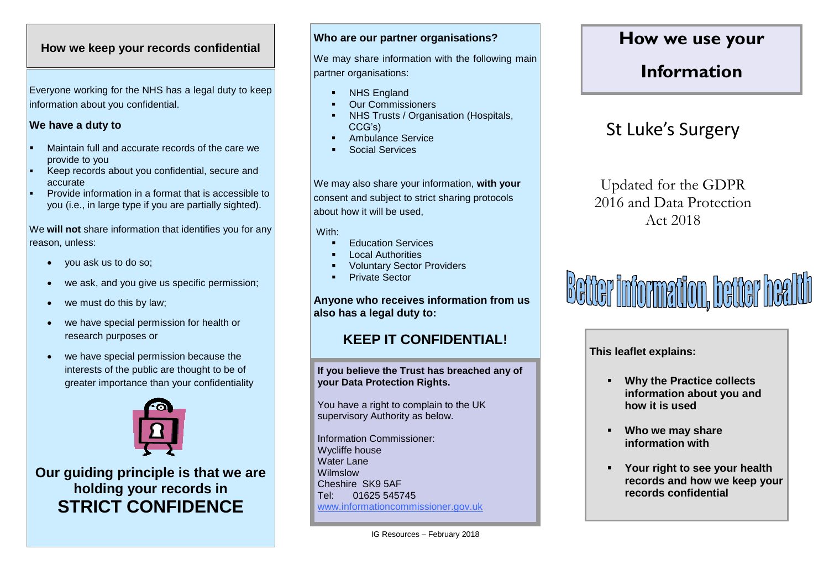### **How we keep your records confidential**

Everyone working for the NHS has a legal duty to keep information about you confidential.

#### **We have a duty to**

- Maintain full and accurate records of the care we provide to you
- Keep records about you confidential, secure and accurate
- Provide information in a format that is accessible to you (i.e., in large type if you are partially sighted).

We **will not** share information that identifies you for any reason, unless:

- you ask us to do so;
- we ask, and you give us specific permission;
- we must do this by law;
- we have special permission for health or research purposes or
- we have special permission because the interests of the public are thought to be of greater importance than your confidentiality



**Our guiding principle is that we are holding your records in STRICT CONFIDENCE**

#### **Who are our partner organisations?**

We may share information with the following main partner organisations:

- NHS England
- Our Commissioners
- NHS Trusts / Organisation (Hospitals, CCG's)
- Ambulance Service
- Social Services

We may also share your information, **with your** consent and subject to strict sharing protocols about how it will be used,

With:

- Education Services
- Local Authorities
- Voluntary Sector Providers
- Private Sector

**Anyone who receives information from us also has a legal duty to:**

### **KEEP IT CONFIDENTIAL!**

**If you believe the Trust has breached any of your Data Protection Rights.**

You have a right to complain to the UK supervisory Authority as below.

Information Commissioner: Wycliffe house Water Lane Wilmslow Cheshire SK9 5AF Tel: 01625 545745 [www.informationc](http://www.information/)ommissioner.gov.uk

### **How we use your**

### **Information**

## St Luke's Surgery

Updated for the GDPR 2016 and Data Protection Act 2018

# **Better information, better health**

**This leaflet explains:**

- **Why the Practice collects information about you and how it is used**
- **Who we may share information with**
- **Your right to see your health records and how we keep your records confidential**